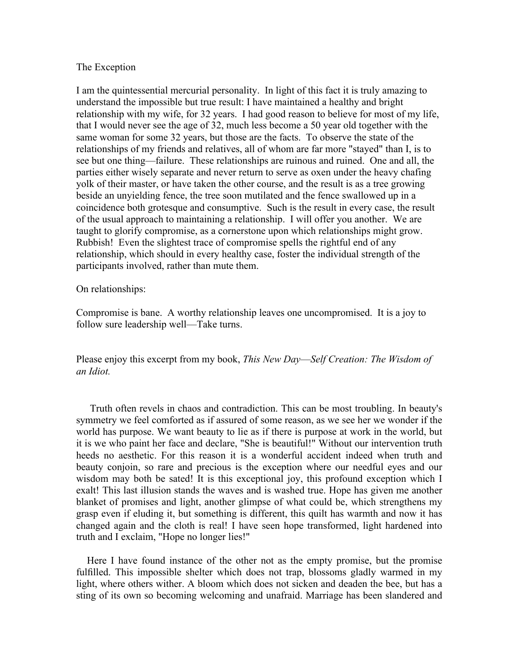## The Exception

I am the quintessential mercurial personality. In light of this fact it is truly amazing to understand the impossible but true result: I have maintained a healthy and bright relationship with my wife, for 32 years. I had good reason to believe for most of my life, that I would never see the age of 32, much less become a 50 year old together with the same woman for some 32 years, but those are the facts. To observe the state of the relationships of my friends and relatives, all of whom are far more "stayed" than I, is to see but one thing––failure. These relationships are ruinous and ruined. One and all, the parties either wisely separate and never return to serve as oxen under the heavy chafing yolk of their master, or have taken the other course, and the result is as a tree growing beside an unyielding fence, the tree soon mutilated and the fence swallowed up in a coincidence both grotesque and consumptive. Such is the result in every case, the result of the usual approach to maintaining a relationship. I will offer you another. We are taught to glorify compromise, as a cornerstone upon which relationships might grow. Rubbish! Even the slightest trace of compromise spells the rightful end of any relationship, which should in every healthy case, foster the individual strength of the participants involved, rather than mute them.

## On relationships:

Compromise is bane. A worthy relationship leaves one uncompromised. It is a joy to follow sure leadership well-Take turns.

Please enjoy this excerpt from my book, *This New Day––Self Creation: The Wisdom of an Idiot.*

Truth often revels in chaos and contradiction. This can be most troubling. In beauty's symmetry we feel comforted as if assured of some reason, as we see her we wonder if the world has purpose. We want beauty to lie as if there is purpose at work in the world, but it is we who paint her face and declare, "She is beautiful!" Without our intervention truth heeds no aesthetic. For this reason it is a wonderful accident indeed when truth and beauty conjoin, so rare and precious is the exception where our needful eyes and our wisdom may both be sated! It is this exceptional joy, this profound exception which I exalt! This last illusion stands the waves and is washed true. Hope has given me another blanket of promises and light, another glimpse of what could be, which strengthens my grasp even if eluding it, but something is different, this quilt has warmth and now it has changed again and the cloth is real! I have seen hope transformed, light hardened into truth and I exclaim, "Hope no longer lies!"

Here I have found instance of the other not as the empty promise, but the promise fulfilled. This impossible shelter which does not trap, blossoms gladly warmed in my light, where others wither. A bloom which does not sicken and deaden the bee, but has a sting of its own so becoming welcoming and unafraid. Marriage has been slandered and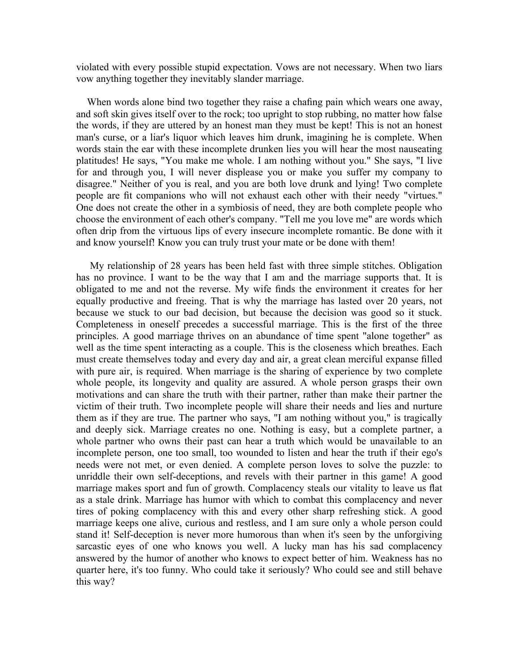violated with every possible stupid expectation. Vows are not necessary. When two liars vow anything together they inevitably slander marriage.

When words alone bind two together they raise a chafing pain which wears one away, and soft skin gives itself over to the rock; too upright to stop rubbing, no matter how false the words, if they are uttered by an honest man they must be kept! This is not an honest man's curse, or a liar's liquor which leaves him drunk, imagining he is complete. When words stain the ear with these incomplete drunken lies you will hear the most nauseating platitudes! He says, "You make me whole. I am nothing without you." She says, "I live for and through you, I will never displease you or make you suffer my company to disagree." Neither of you is real, and you are both love drunk and lying! Two complete people are fit companions who will not exhaust each other with their needy "virtues." One does not create the other in a symbiosis of need, they are both complete people who choose the environment of each other's company. "Tell me you love me" are words which often drip from the virtuous lips of every insecure incomplete romantic. Be done with it and know yourself! Know you can truly trust your mate or be done with them!

My relationship of 28 years has been held fast with three simple stitches. Obligation has no province. I want to be the way that I am and the marriage supports that. It is obligated to me and not the reverse. My wife finds the environment it creates for her equally productive and freeing. That is why the marriage has lasted over 20 years, not because we stuck to our bad decision, but because the decision was good so it stuck. Completeness in oneself precedes a successful marriage. This is the first of the three principles. A good marriage thrives on an abundance of time spent "alone together" as well as the time spent interacting as a couple. This is the closeness which breathes. Each must create themselves today and every day and air, a great clean merciful expanse filled with pure air, is required. When marriage is the sharing of experience by two complete whole people, its longevity and quality are assured. A whole person grasps their own motivations and can share the truth with their partner, rather than make their partner the victim of their truth. Two incomplete people will share their needs and lies and nurture them as if they are true. The partner who says, "I am nothing without you," is tragically and deeply sick. Marriage creates no one. Nothing is easy, but a complete partner, a whole partner who owns their past can hear a truth which would be unavailable to an incomplete person, one too small, too wounded to listen and hear the truth if their ego's needs were not met, or even denied. A complete person loves to solve the puzzle: to unriddle their own self-deceptions, and revels with their partner in this game! A good marriage makes sport and fun of growth. Complacency steals our vitality to leave us flat as a stale drink. Marriage has humor with which to combat this complacency and never tires of poking complacency with this and every other sharp refreshing stick. A good marriage keeps one alive, curious and restless, and I am sure only a whole person could stand it! Self-deception is never more humorous than when it's seen by the unforgiving sarcastic eyes of one who knows you well. A lucky man has his sad complacency answered by the humor of another who knows to expect better of him. Weakness has no quarter here, it's too funny. Who could take it seriously? Who could see and still behave this way?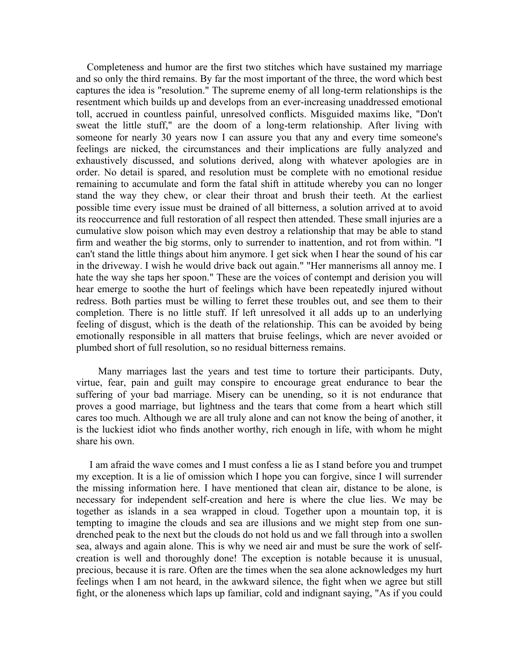Completeness and humor are the first two stitches which have sustained my marriage and so only the third remains. By far the most important of the three, the word which best captures the idea is "resolution." The supreme enemy of all long-term relationships is the resentment which builds up and develops from an ever-increasing unaddressed emotional toll, accrued in countless painful, unresolved conflicts. Misguided maxims like, "Don't sweat the little stuff," are the doom of a long-term relationship. After living with someone for nearly 30 years now I can assure you that any and every time someone's feelings are nicked, the circumstances and their implications are fully analyzed and exhaustively discussed, and solutions derived, along with whatever apologies are in order. No detail is spared, and resolution must be complete with no emotional residue remaining to accumulate and form the fatal shift in attitude whereby you can no longer stand the way they chew, or clear their throat and brush their teeth. At the earliest possible time every issue must be drained of all bitterness, a solution arrived at to avoid its reoccurrence and full restoration of all respect then attended. These small injuries are a cumulative slow poison which may even destroy a relationship that may be able to stand firm and weather the big storms, only to surrender to inattention, and rot from within. "I can't stand the little things about him anymore. I get sick when I hear the sound of his car in the driveway. I wish he would drive back out again." "Her mannerisms all annoy me. I hate the way she taps her spoon." These are the voices of contempt and derision you will hear emerge to soothe the hurt of feelings which have been repeatedly injured without redress. Both parties must be willing to ferret these troubles out, and see them to their completion. There is no little stuff. If left unresolved it all adds up to an underlying feeling of disgust, which is the death of the relationship. This can be avoided by being emotionally responsible in all matters that bruise feelings, which are never avoided or plumbed short of full resolution, so no residual bitterness remains.

Many marriages last the years and test time to torture their participants. Duty, virtue, fear, pain and guilt may conspire to encourage great endurance to bear the suffering of your bad marriage. Misery can be unending, so it is not endurance that proves a good marriage, but lightness and the tears that come from a heart which still cares too much. Although we are all truly alone and can not know the being of another, it is the luckiest idiot who finds another worthy, rich enough in life, with whom he might share his own.

I am afraid the wave comes and I must confess a lie as I stand before you and trumpet my exception. It is a lie of omission which I hope you can forgive, since I will surrender the missing information here. I have mentioned that clean air, distance to be alone, is necessary for independent self-creation and here is where the clue lies. We may be together as islands in a sea wrapped in cloud. Together upon a mountain top, it is tempting to imagine the clouds and sea are illusions and we might step from one sundrenched peak to the next but the clouds do not hold us and we fall through into a swollen sea, always and again alone. This is why we need air and must be sure the work of selfcreation is well and thoroughly done! The exception is notable because it is unusual, precious, because it is rare. Often are the times when the sea alone acknowledges my hurt feelings when I am not heard, in the awkward silence, the fight when we agree but still fight, or the aloneness which laps up familiar, cold and indignant saying, "As if you could